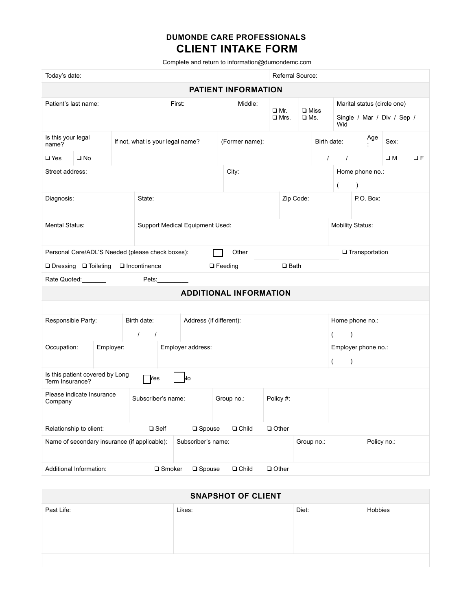## **DUMONDE CARE PROFESSIONALS CLIENT INTAKE FORM**

Complete and return to information@dumondemc.com

| Today's date:                                                                      |                         |                      |                                        |                  |                                  |            |                | Referral Source:        |   |               |                              |                 |                                      |                                                           |                     |          |
|------------------------------------------------------------------------------------|-------------------------|----------------------|----------------------------------------|------------------|----------------------------------|------------|----------------|-------------------------|---|---------------|------------------------------|-----------------|--------------------------------------|-----------------------------------------------------------|---------------------|----------|
| <b>PATIENT INFORMATION</b>                                                         |                         |                      |                                        |                  |                                  |            |                |                         |   |               |                              |                 |                                      |                                                           |                     |          |
| Patient's last name:                                                               |                         |                      | First:                                 |                  |                                  |            | Middle:        | □ Mr.<br>$\square$ Mrs. |   | $\square$ Ms. | $\square$ Miss               | Wid             |                                      | Marital status (circle one)<br>Single / Mar / Div / Sep / |                     |          |
| Is this your legal<br>name?<br>$\square$ Yes<br>$\square$ No                       |                         |                      | If not, what is your legal name?       |                  |                                  |            | (Former name): |                         |   |               | Birth date:<br>$\prime$      | $\sqrt{ }$      |                                      | Age                                                       | Sex:<br>$\square$ M | $\Box F$ |
|                                                                                    | Street address:         |                      |                                        |                  |                                  | City:      |                |                         |   |               | Home phone no.:<br>$\lambda$ |                 |                                      |                                                           |                     |          |
| Diagnosis:                                                                         |                         |                      | State:                                 |                  |                                  |            | Zip Code:      |                         |   |               |                              |                 | P.O. Box:                            |                                                           |                     |          |
| Mental Status:                                                                     |                         |                      | Support Medical Equipment Used:        |                  |                                  |            |                |                         |   |               |                              |                 | <b>Mobility Status:</b>              |                                                           |                     |          |
| Personal Care/ADL'S Needed (please check boxes):<br>Other<br><b>Transportation</b> |                         |                      |                                        |                  |                                  |            |                |                         |   |               |                              |                 |                                      |                                                           |                     |          |
| $\Box$ Bath<br>□ Dressing □ Toileting<br>Incontinence<br>$\Box$ Feeding            |                         |                      |                                        |                  |                                  |            |                |                         |   |               |                              |                 |                                      |                                                           |                     |          |
| Rate Quoted:<br>Pets:                                                              |                         |                      |                                        |                  |                                  |            |                |                         |   |               |                              |                 |                                      |                                                           |                     |          |
| <b>ADDITIONAL INFORMATION</b>                                                      |                         |                      |                                        |                  |                                  |            |                |                         |   |               |                              |                 |                                      |                                                           |                     |          |
|                                                                                    |                         |                      |                                        |                  |                                  |            |                |                         |   |               |                              |                 |                                      |                                                           |                     |          |
| Responsible Party:                                                                 |                         |                      | Birth date:<br>Address (if different): |                  |                                  |            |                |                         |   |               |                              | Home phone no.: |                                      |                                                           |                     |          |
|                                                                                    |                         | $\prime$<br>$\prime$ |                                        |                  |                                  |            |                |                         |   |               | $\left($<br>$\lambda$        |                 |                                      |                                                           |                     |          |
| Occupation:<br>Employer:                                                           |                         |                      | Employer address:                      |                  |                                  |            |                |                         | ( |               |                              |                 | Employer phone no.:<br>$\mathcal{C}$ |                                                           |                     |          |
| Is this patient covered by Long<br>Nо<br>Yes<br>Term Insurance?                    |                         |                      |                                        |                  |                                  |            |                |                         |   |               |                              |                 |                                      |                                                           |                     |          |
| Please indicate Insurance<br>Company                                               |                         | Subscriber's name:   |                                        |                  |                                  | Group no.: |                | Policy #:               |   |               |                              |                 |                                      |                                                           |                     |          |
| Relationship to client:<br>$\square$ Self                                          |                         |                      |                                        |                  | $\square$ Spouse<br>$\Box$ Child |            |                | $\Box$ Other            |   |               |                              |                 |                                      |                                                           |                     |          |
| Name of secondary insurance (if applicable):                                       |                         |                      | Subscriber's name:                     |                  |                                  |            |                |                         |   | Group no.:    |                              |                 |                                      | Policy no.:                                               |                     |          |
|                                                                                    | Additional Information: |                      |                                        | $\square$ Smoker | $\square$ Spouse                 |            | $\Box$ Child   | $\Box$ Other            |   |               |                              |                 |                                      |                                                           |                     |          |

| <b>SNAPSHOT OF CLIENT</b> |        |       |         |  |  |  |  |  |
|---------------------------|--------|-------|---------|--|--|--|--|--|
| Past Life:                | Likes: | Diet: | Hobbies |  |  |  |  |  |
|                           |        |       |         |  |  |  |  |  |
|                           |        |       |         |  |  |  |  |  |
|                           |        |       |         |  |  |  |  |  |
|                           |        |       |         |  |  |  |  |  |